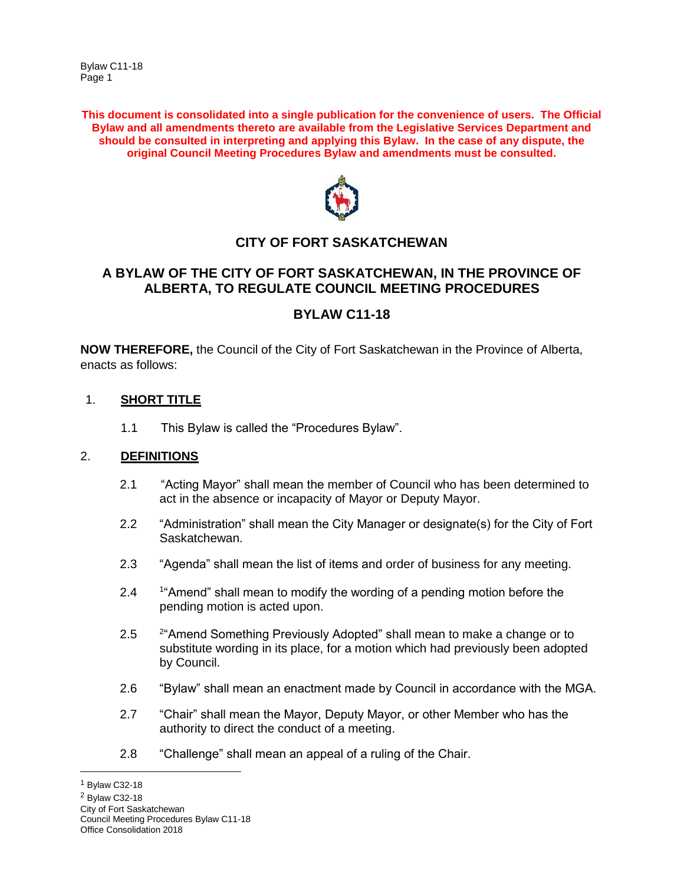Bylaw C11-18 Page 1

**This document is consolidated into a single publication for the convenience of users. The Official Bylaw and all amendments thereto are available from the Legislative Services Department and should be consulted in interpreting and applying this Bylaw. In the case of any dispute, the original Council Meeting Procedures Bylaw and amendments must be consulted.**



# **CITY OF FORT SASKATCHEWAN**

# **A BYLAW OF THE CITY OF FORT SASKATCHEWAN, IN THE PROVINCE OF ALBERTA, TO REGULATE COUNCIL MEETING PROCEDURES**

# **BYLAW C11-18**

**NOW THEREFORE,** the Council of the City of Fort Saskatchewan in the Province of Alberta, enacts as follows:

# 1. **SHORT TITLE**

1.1 This Bylaw is called the "Procedures Bylaw".

## 2. **DEFINITIONS**

- 2.1 "Acting Mayor" shall mean the member of Council who has been determined to act in the absence or incapacity of Mayor or Deputy Mayor.
- 2.2 "Administration" shall mean the City Manager or designate(s) for the City of Fort Saskatchewan.
- 2.3 "Agenda" shall mean the list of items and order of business for any meeting.
- 2.4 <sup>1</sup> <sup>1</sup> Amend" shall mean to modify the wording of a pending motion before the pending motion is acted upon.
- 2.5 <sup>2</sup>"Amend Something Previously Adopted" shall mean to make a change or to substitute wording in its place, for a motion which had previously been adopted by Council.
- 2.6 "Bylaw" shall mean an enactment made by Council in accordance with the MGA.
- 2.7 "Chair" shall mean the Mayor, Deputy Mayor, or other Member who has the authority to direct the conduct of a meeting.
- 2.8 "Challenge" shall mean an appeal of a ruling of the Chair.

 $\overline{\phantom{a}}$ 

City of Fort Saskatchewan Council Meeting Procedures Bylaw C11-18 Office Consolidation 2018

<sup>1</sup> Bylaw C32-18

<sup>2</sup> Bylaw C32-18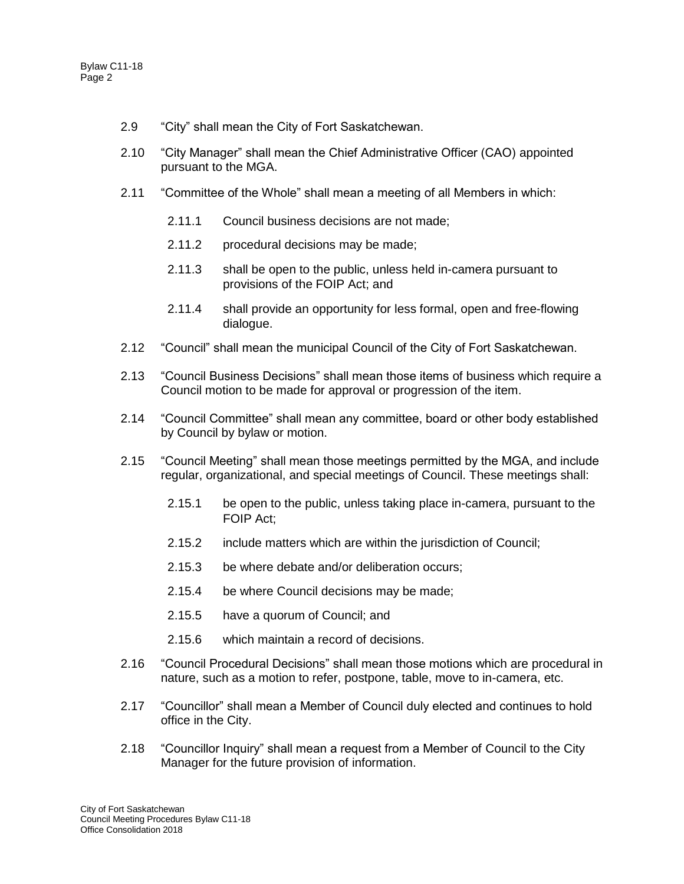- 2.9 "City" shall mean the City of Fort Saskatchewan.
- 2.10 "City Manager" shall mean the Chief Administrative Officer (CAO) appointed pursuant to the MGA.
- 2.11 "Committee of the Whole" shall mean a meeting of all Members in which:
	- 2.11.1 Council business decisions are not made;
	- 2.11.2 procedural decisions may be made;
	- 2.11.3 shall be open to the public, unless held in-camera pursuant to provisions of the FOIP Act; and
	- 2.11.4 shall provide an opportunity for less formal, open and free-flowing dialogue.
- 2.12 "Council" shall mean the municipal Council of the City of Fort Saskatchewan.
- 2.13 "Council Business Decisions" shall mean those items of business which require a Council motion to be made for approval or progression of the item.
- 2.14 "Council Committee" shall mean any committee, board or other body established by Council by bylaw or motion.
- 2.15 "Council Meeting" shall mean those meetings permitted by the MGA, and include regular, organizational, and special meetings of Council. These meetings shall:
	- 2.15.1 be open to the public, unless taking place in-camera, pursuant to the FOIP Act;
	- 2.15.2 include matters which are within the jurisdiction of Council;
	- 2.15.3 be where debate and/or deliberation occurs;
	- 2.15.4 be where Council decisions may be made;
	- 2.15.5 have a quorum of Council; and
	- 2.15.6 which maintain a record of decisions.
- 2.16 "Council Procedural Decisions" shall mean those motions which are procedural in nature, such as a motion to refer, postpone, table, move to in-camera, etc.
- 2.17 "Councillor" shall mean a Member of Council duly elected and continues to hold office in the City.
- 2.18 "Councillor Inquiry" shall mean a request from a Member of Council to the City Manager for the future provision of information.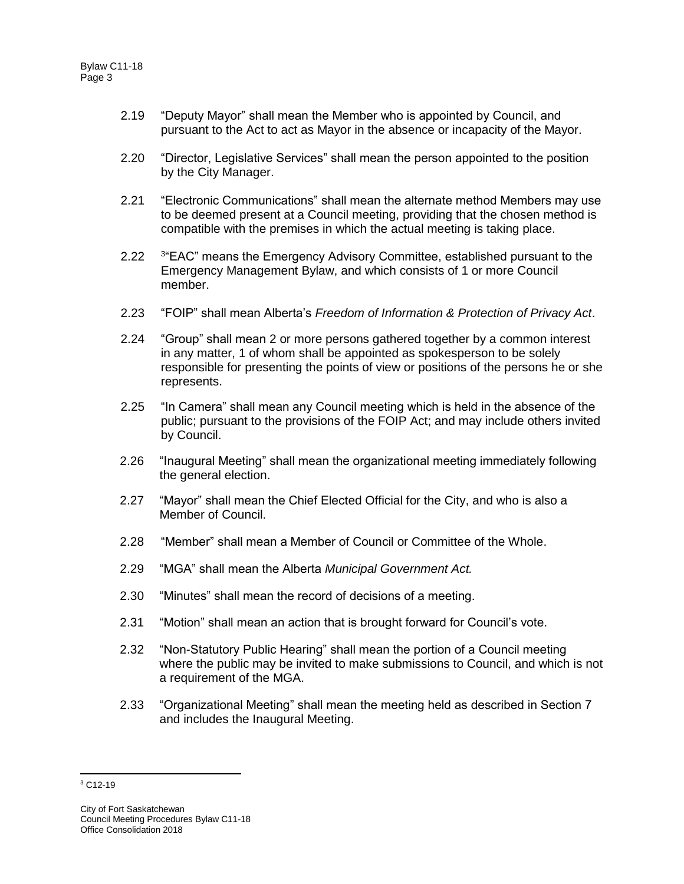- 2.19 "Deputy Mayor" shall mean the Member who is appointed by Council, and pursuant to the Act to act as Mayor in the absence or incapacity of the Mayor.
- 2.20 "Director, Legislative Services" shall mean the person appointed to the position by the City Manager.
- 2.21 "Electronic Communications" shall mean the alternate method Members may use to be deemed present at a Council meeting, providing that the chosen method is compatible with the premises in which the actual meeting is taking place.
- $2.22$ <sup>3</sup>"EAC" means the Emergency Advisory Committee, established pursuant to the Emergency Management Bylaw, and which consists of 1 or more Council member.
- 2.23 "FOIP" shall mean Alberta's *Freedom of Information & Protection of Privacy Act*.
- 2.24 "Group" shall mean 2 or more persons gathered together by a common interest in any matter, 1 of whom shall be appointed as spokesperson to be solely responsible for presenting the points of view or positions of the persons he or she represents.
- 2.25 "In Camera" shall mean any Council meeting which is held in the absence of the public; pursuant to the provisions of the FOIP Act; and may include others invited by Council.
- 2.26 "Inaugural Meeting" shall mean the organizational meeting immediately following the general election.
- 2.27 "Mayor" shall mean the Chief Elected Official for the City, and who is also a Member of Council.
- 2.28 "Member" shall mean a Member of Council or Committee of the Whole.
- 2.29 "MGA" shall mean the Alberta *Municipal Government Act.*
- 2.30 "Minutes" shall mean the record of decisions of a meeting.
- 2.31 "Motion" shall mean an action that is brought forward for Council's vote.
- 2.32 "Non-Statutory Public Hearing" shall mean the portion of a Council meeting where the public may be invited to make submissions to Council, and which is not a requirement of the MGA.
- 2.33 "Organizational Meeting" shall mean the meeting held as described in Section 7 and includes the Inaugural Meeting.

l <sup>3</sup> C12-19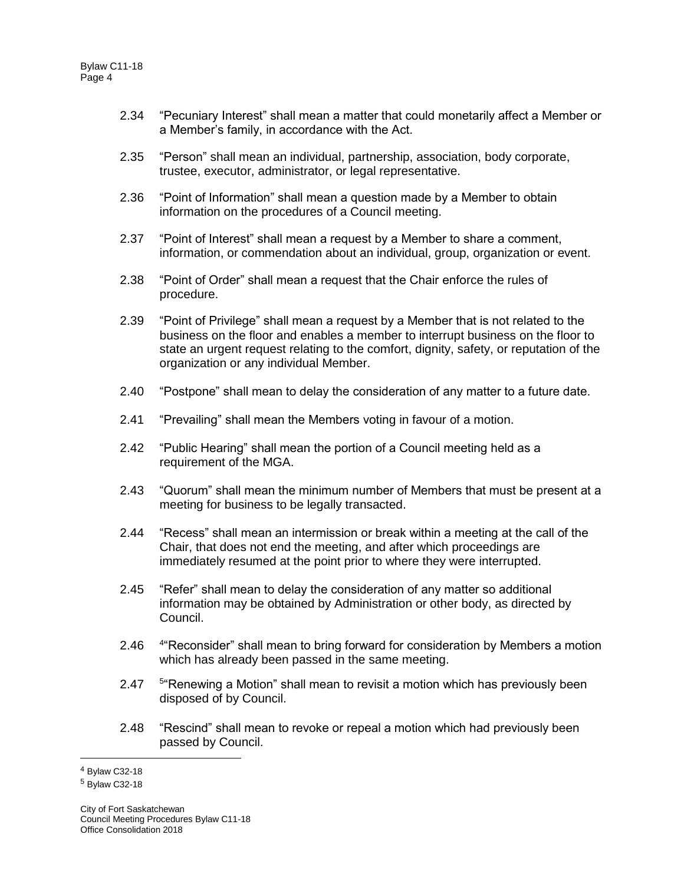- 2.34 "Pecuniary Interest" shall mean a matter that could monetarily affect a Member or a Member's family, in accordance with the Act.
- 2.35 "Person" shall mean an individual, partnership, association, body corporate, trustee, executor, administrator, or legal representative.
- 2.36 "Point of Information" shall mean a question made by a Member to obtain information on the procedures of a Council meeting.
- 2.37 "Point of Interest" shall mean a request by a Member to share a comment, information, or commendation about an individual, group, organization or event.
- 2.38 "Point of Order" shall mean a request that the Chair enforce the rules of procedure.
- 2.39 "Point of Privilege" shall mean a request by a Member that is not related to the business on the floor and enables a member to interrupt business on the floor to state an urgent request relating to the comfort, dignity, safety, or reputation of the organization or any individual Member.
- 2.40 "Postpone" shall mean to delay the consideration of any matter to a future date.
- 2.41 "Prevailing" shall mean the Members voting in favour of a motion.
- 2.42 "Public Hearing" shall mean the portion of a Council meeting held as a requirement of the MGA.
- 2.43 "Quorum" shall mean the minimum number of Members that must be present at a meeting for business to be legally transacted.
- 2.44 "Recess" shall mean an intermission or break within a meeting at the call of the Chair, that does not end the meeting, and after which proceedings are immediately resumed at the point prior to where they were interrupted.
- 2.45 "Refer" shall mean to delay the consideration of any matter so additional information may be obtained by Administration or other body, as directed by Council.
- $2.46$ "Reconsider" shall mean to bring forward for consideration by Members a motion which has already been passed in the same meeting.
- $2.47$  $5$  Renewing a Motion" shall mean to revisit a motion which has previously been disposed of by Council.
- 2.48 "Rescind" shall mean to revoke or repeal a motion which had previously been passed by Council.

 $\overline{\phantom{a}}$ 

<sup>4</sup> Bylaw C32-18

<sup>5</sup> Bylaw C32-18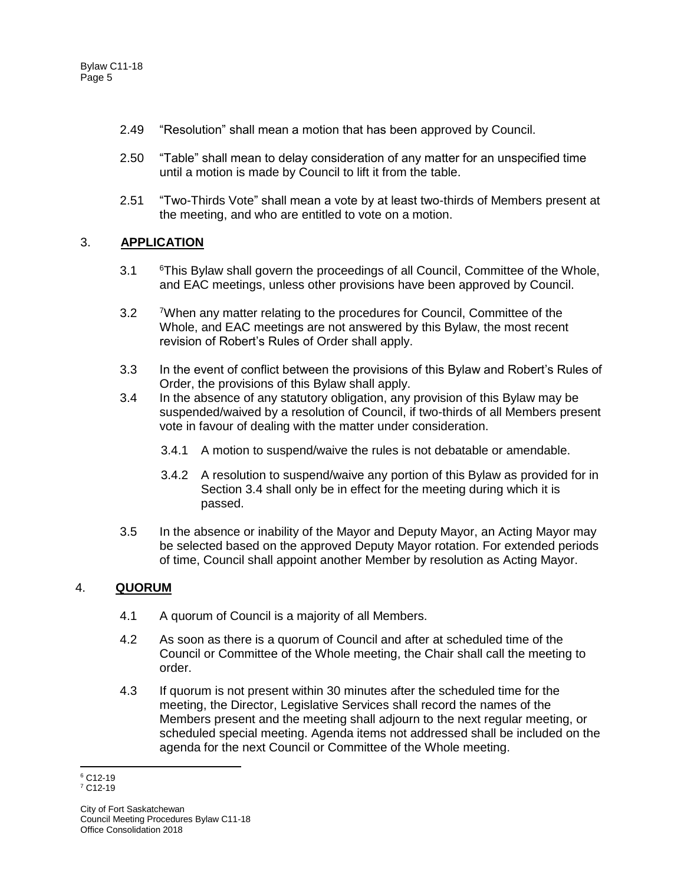- 2.49 "Resolution" shall mean a motion that has been approved by Council.
- 2.50 "Table" shall mean to delay consideration of any matter for an unspecified time until a motion is made by Council to lift it from the table.
- 2.51 "Two-Thirds Vote" shall mean a vote by at least two-thirds of Members present at the meeting, and who are entitled to vote on a motion.

# 3. **APPLICATION**

- 3.1 <sup>6</sup>This Bylaw shall govern the proceedings of all Council, Committee of the Whole, and EAC meetings, unless other provisions have been approved by Council.
- 3.2 <sup>7</sup>When any matter relating to the procedures for Council, Committee of the Whole, and EAC meetings are not answered by this Bylaw, the most recent revision of Robert's Rules of Order shall apply.
- 3.3 In the event of conflict between the provisions of this Bylaw and Robert's Rules of Order, the provisions of this Bylaw shall apply.
- 3.4 In the absence of any statutory obligation, any provision of this Bylaw may be suspended/waived by a resolution of Council, if two-thirds of all Members present vote in favour of dealing with the matter under consideration.
	- 3.4.1 A motion to suspend/waive the rules is not debatable or amendable.
	- 3.4.2 A resolution to suspend/waive any portion of this Bylaw as provided for in Section 3.4 shall only be in effect for the meeting during which it is passed.
- 3.5 In the absence or inability of the Mayor and Deputy Mayor, an Acting Mayor may be selected based on the approved Deputy Mayor rotation. For extended periods of time, Council shall appoint another Member by resolution as Acting Mayor.

### 4. **QUORUM**

- 4.1 A quorum of Council is a majority of all Members.
- 4.2 As soon as there is a quorum of Council and after at scheduled time of the Council or Committee of the Whole meeting, the Chair shall call the meeting to order.
- 4.3 If quorum is not present within 30 minutes after the scheduled time for the meeting, the Director, Legislative Services shall record the names of the Members present and the meeting shall adjourn to the next regular meeting, or scheduled special meeting. Agenda items not addressed shall be included on the agenda for the next Council or Committee of the Whole meeting.

 $\overline{\phantom{a}}$  $6$  C12-19

<sup>7</sup> C12-19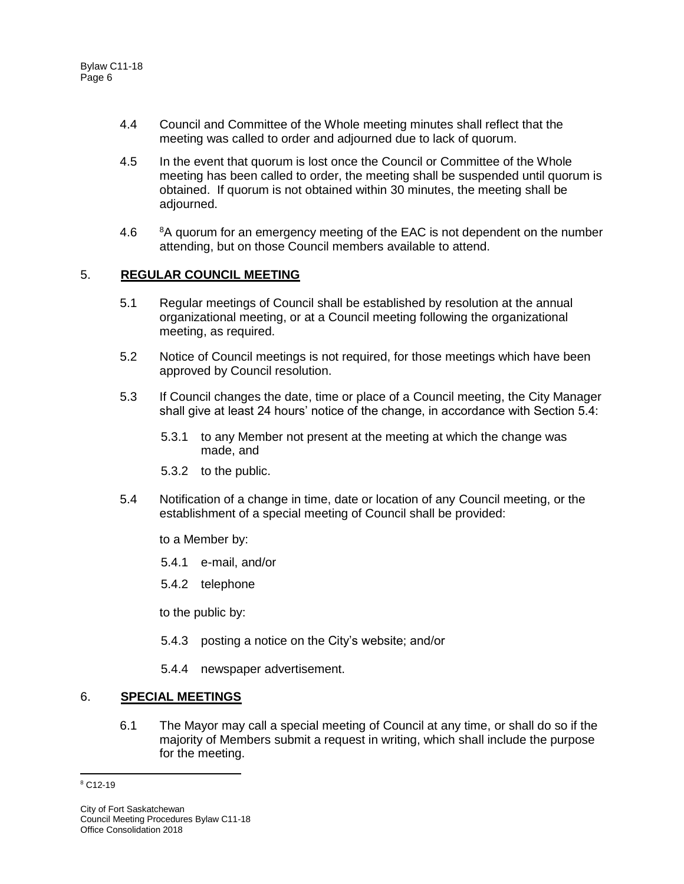- 4.4 Council and Committee of the Whole meeting minutes shall reflect that the meeting was called to order and adjourned due to lack of quorum.
- 4.5 In the event that quorum is lost once the Council or Committee of the Whole meeting has been called to order, the meeting shall be suspended until quorum is obtained. If quorum is not obtained within 30 minutes, the meeting shall be adjourned.
- 4.6 8A quorum for an emergency meeting of the EAC is not dependent on the number attending, but on those Council members available to attend.

### 5. **REGULAR COUNCIL MEETING**

- 5.1 Regular meetings of Council shall be established by resolution at the annual organizational meeting, or at a Council meeting following the organizational meeting, as required.
- 5.2 Notice of Council meetings is not required, for those meetings which have been approved by Council resolution.
- 5.3 If Council changes the date, time or place of a Council meeting, the City Manager shall give at least 24 hours' notice of the change, in accordance with Section 5.4:
	- 5.3.1 to any Member not present at the meeting at which the change was made, and
	- 5.3.2 to the public.
- 5.4 Notification of a change in time, date or location of any Council meeting, or the establishment of a special meeting of Council shall be provided:
	- to a Member by:
	- 5.4.1 e-mail, and/or
	- 5.4.2 telephone

to the public by:

- 5.4.3 posting a notice on the City's website; and/or
- 5.4.4 newspaper advertisement.

#### 6. **SPECIAL MEETINGS**

6.1 The Mayor may call a special meeting of Council at any time, or shall do so if the majority of Members submit a request in writing, which shall include the purpose for the meeting.

l <sup>8</sup> C12-19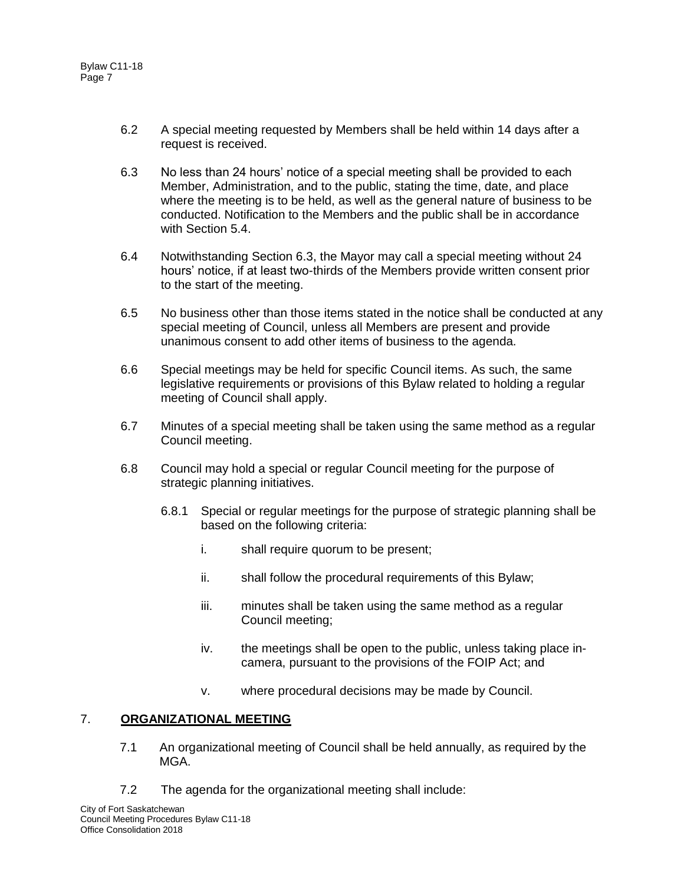- 6.2 A special meeting requested by Members shall be held within 14 days after a request is received.
- 6.3 No less than 24 hours' notice of a special meeting shall be provided to each Member, Administration, and to the public, stating the time, date, and place where the meeting is to be held, as well as the general nature of business to be conducted. Notification to the Members and the public shall be in accordance with Section 5.4.
- 6.4 Notwithstanding Section 6.3, the Mayor may call a special meeting without 24 hours' notice, if at least two-thirds of the Members provide written consent prior to the start of the meeting.
- 6.5 No business other than those items stated in the notice shall be conducted at any special meeting of Council, unless all Members are present and provide unanimous consent to add other items of business to the agenda.
- 6.6 Special meetings may be held for specific Council items. As such, the same legislative requirements or provisions of this Bylaw related to holding a regular meeting of Council shall apply.
- 6.7 Minutes of a special meeting shall be taken using the same method as a regular Council meeting.
- 6.8 Council may hold a special or regular Council meeting for the purpose of strategic planning initiatives.
	- 6.8.1 Special or regular meetings for the purpose of strategic planning shall be based on the following criteria:
		- i. shall require quorum to be present;
		- ii. shall follow the procedural requirements of this Bylaw;
		- iii. minutes shall be taken using the same method as a regular Council meeting;
		- iv. the meetings shall be open to the public, unless taking place incamera, pursuant to the provisions of the FOIP Act; and
		- v. where procedural decisions may be made by Council.

### 7. **ORGANIZATIONAL MEETING**

- 7.1 An organizational meeting of Council shall be held annually, as required by the MGA.
- 7.2 The agenda for the organizational meeting shall include: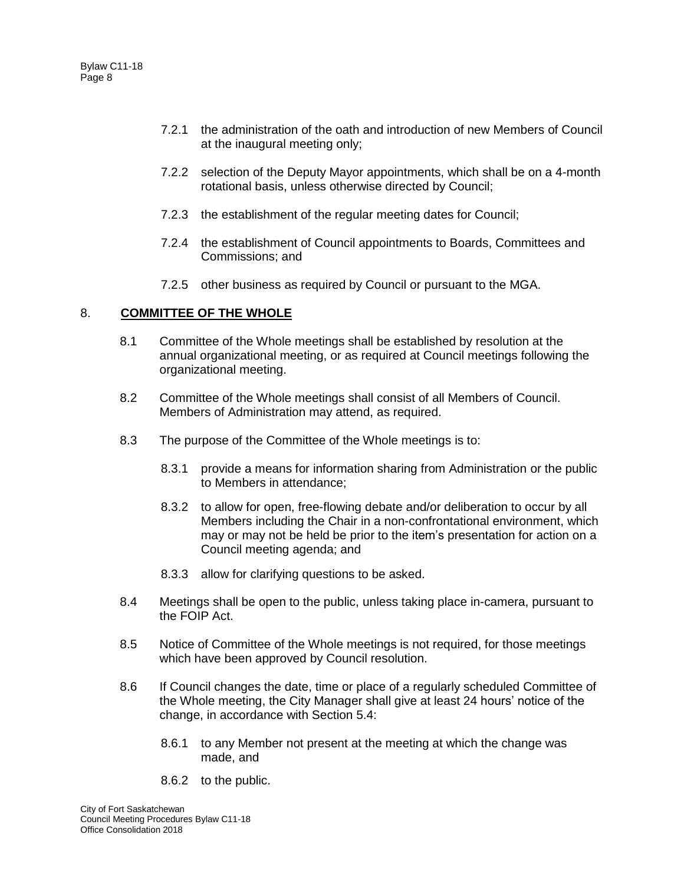- 7.2.1 the administration of the oath and introduction of new Members of Council at the inaugural meeting only;
- 7.2.2 selection of the Deputy Mayor appointments, which shall be on a 4-month rotational basis, unless otherwise directed by Council;
- 7.2.3 the establishment of the regular meeting dates for Council;
- 7.2.4 the establishment of Council appointments to Boards, Committees and Commissions; and
- 7.2.5 other business as required by Council or pursuant to the MGA.

### 8. **COMMITTEE OF THE WHOLE**

- 8.1 Committee of the Whole meetings shall be established by resolution at the annual organizational meeting, or as required at Council meetings following the organizational meeting.
- 8.2 Committee of the Whole meetings shall consist of all Members of Council. Members of Administration may attend, as required.
- 8.3 The purpose of the Committee of the Whole meetings is to:
	- 8.3.1 provide a means for information sharing from Administration or the public to Members in attendance;
	- 8.3.2 to allow for open, free-flowing debate and/or deliberation to occur by all Members including the Chair in a non-confrontational environment, which may or may not be held be prior to the item's presentation for action on a Council meeting agenda; and
	- 8.3.3 allow for clarifying questions to be asked.
- 8.4 Meetings shall be open to the public, unless taking place in-camera, pursuant to the FOIP Act.
- 8.5 Notice of Committee of the Whole meetings is not required, for those meetings which have been approved by Council resolution.
- 8.6 If Council changes the date, time or place of a regularly scheduled Committee of the Whole meeting, the City Manager shall give at least 24 hours' notice of the change, in accordance with Section 5.4:
	- 8.6.1 to any Member not present at the meeting at which the change was made, and
	- 8.6.2 to the public.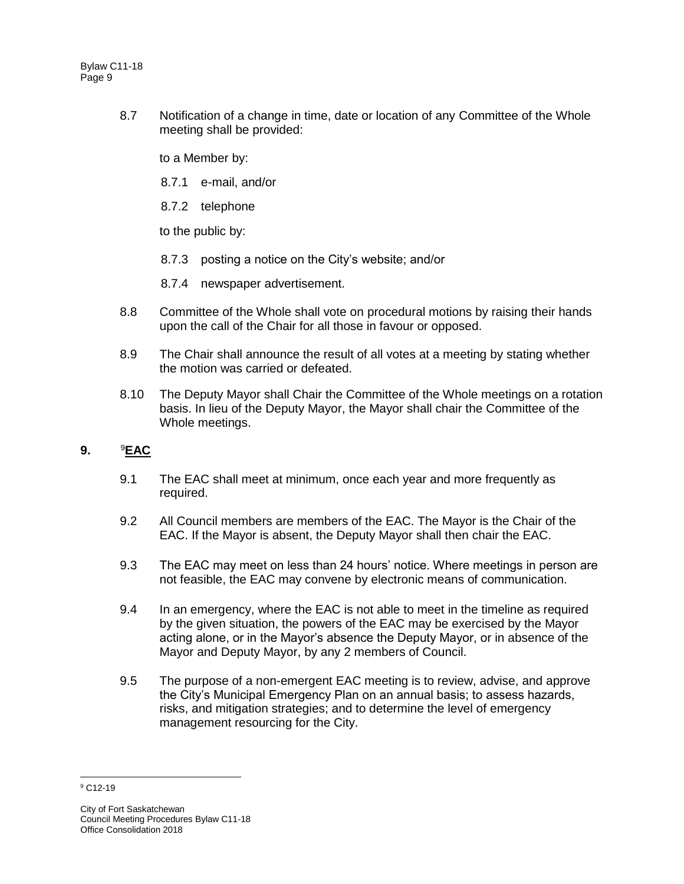8.7 Notification of a change in time, date or location of any Committee of the Whole meeting shall be provided:

to a Member by:

- 8.7.1 e-mail, and/or
- 8.7.2 telephone

to the public by:

- 8.7.3 posting a notice on the City's website; and/or
- 8.7.4 newspaper advertisement.
- 8.8 Committee of the Whole shall vote on procedural motions by raising their hands upon the call of the Chair for all those in favour or opposed.
- 8.9 The Chair shall announce the result of all votes at a meeting by stating whether the motion was carried or defeated.
- 8.10 The Deputy Mayor shall Chair the Committee of the Whole meetings on a rotation basis. In lieu of the Deputy Mayor, the Mayor shall chair the Committee of the Whole meetings.

### **9.** <sup>9</sup>**EAC**

- 9.1 The EAC shall meet at minimum, once each year and more frequently as required.
- 9.2 All Council members are members of the EAC. The Mayor is the Chair of the EAC. If the Mayor is absent, the Deputy Mayor shall then chair the EAC.
- 9.3 The EAC may meet on less than 24 hours' notice. Where meetings in person are not feasible, the EAC may convene by electronic means of communication.
- 9.4 In an emergency, where the EAC is not able to meet in the timeline as required by the given situation, the powers of the EAC may be exercised by the Mayor acting alone, or in the Mayor's absence the Deputy Mayor, or in absence of the Mayor and Deputy Mayor, by any 2 members of Council.
- 9.5 The purpose of a non-emergent EAC meeting is to review, advise, and approve the City's Municipal Emergency Plan on an annual basis; to assess hazards, risks, and mitigation strategies; and to determine the level of emergency management resourcing for the City.

l <sup>9</sup> C12-19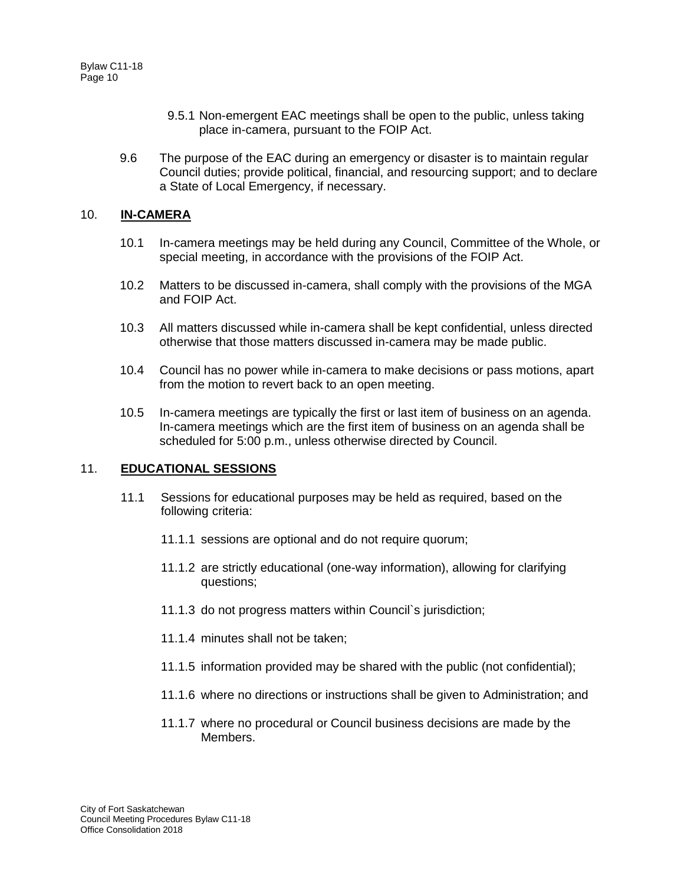- 9.5.1 Non-emergent EAC meetings shall be open to the public, unless taking place in-camera, pursuant to the FOIP Act.
- 9.6 The purpose of the EAC during an emergency or disaster is to maintain regular Council duties; provide political, financial, and resourcing support; and to declare a State of Local Emergency, if necessary.

#### 10. **IN-CAMERA**

- 10.1 In-camera meetings may be held during any Council, Committee of the Whole, or special meeting, in accordance with the provisions of the FOIP Act.
- 10.2 Matters to be discussed in-camera, shall comply with the provisions of the MGA and FOIP Act.
- 10.3 All matters discussed while in-camera shall be kept confidential, unless directed otherwise that those matters discussed in-camera may be made public.
- 10.4 Council has no power while in-camera to make decisions or pass motions, apart from the motion to revert back to an open meeting.
- 10.5 In-camera meetings are typically the first or last item of business on an agenda. In-camera meetings which are the first item of business on an agenda shall be scheduled for 5:00 p.m., unless otherwise directed by Council.

#### 11. **EDUCATIONAL SESSIONS**

- 11.1 Sessions for educational purposes may be held as required, based on the following criteria:
	- 11.1.1 sessions are optional and do not require quorum;
	- 11.1.2 are strictly educational (one-way information), allowing for clarifying questions;
	- 11.1.3 do not progress matters within Council`s jurisdiction;
	- 11.1.4 minutes shall not be taken;
	- 11.1.5 information provided may be shared with the public (not confidential);
	- 11.1.6 where no directions or instructions shall be given to Administration; and
	- 11.1.7 where no procedural or Council business decisions are made by the Members.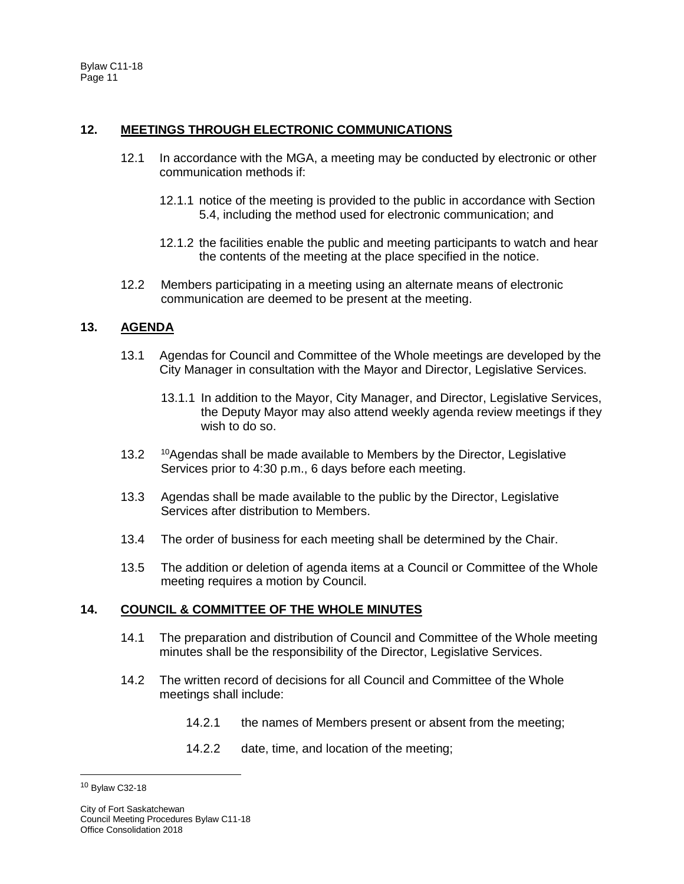Bylaw C11-18 Page 11

#### **12. MEETINGS THROUGH ELECTRONIC COMMUNICATIONS**

- 12.1 In accordance with the MGA, a meeting may be conducted by electronic or other communication methods if:
	- 12.1.1 notice of the meeting is provided to the public in accordance with Section 5.4, including the method used for electronic communication; and
	- 12.1.2 the facilities enable the public and meeting participants to watch and hear the contents of the meeting at the place specified in the notice.
- 12.2 Members participating in a meeting using an alternate means of electronic communication are deemed to be present at the meeting.

#### **13. AGENDA**

- 13.1 Agendas for Council and Committee of the Whole meetings are developed by the City Manager in consultation with the Mayor and Director, Legislative Services.
	- 13.1.1 In addition to the Mayor, City Manager, and Director, Legislative Services, the Deputy Mayor may also attend weekly agenda review meetings if they wish to do so.
- 13.2 <sup>10</sup>Agendas shall be made available to Members by the Director, Legislative Services prior to 4:30 p.m., 6 days before each meeting.
- 13.3 Agendas shall be made available to the public by the Director, Legislative Services after distribution to Members.
- 13.4 The order of business for each meeting shall be determined by the Chair.
- 13.5 The addition or deletion of agenda items at a Council or Committee of the Whole meeting requires a motion by Council.

#### **14. COUNCIL & COMMITTEE OF THE WHOLE MINUTES**

- 14.1 The preparation and distribution of Council and Committee of the Whole meeting minutes shall be the responsibility of the Director, Legislative Services.
- 14.2 The written record of decisions for all Council and Committee of the Whole meetings shall include:
	- 14.2.1 the names of Members present or absent from the meeting;
	- 14.2.2 date, time, and location of the meeting;

 $\overline{a}$ 

<sup>10</sup> Bylaw C32-18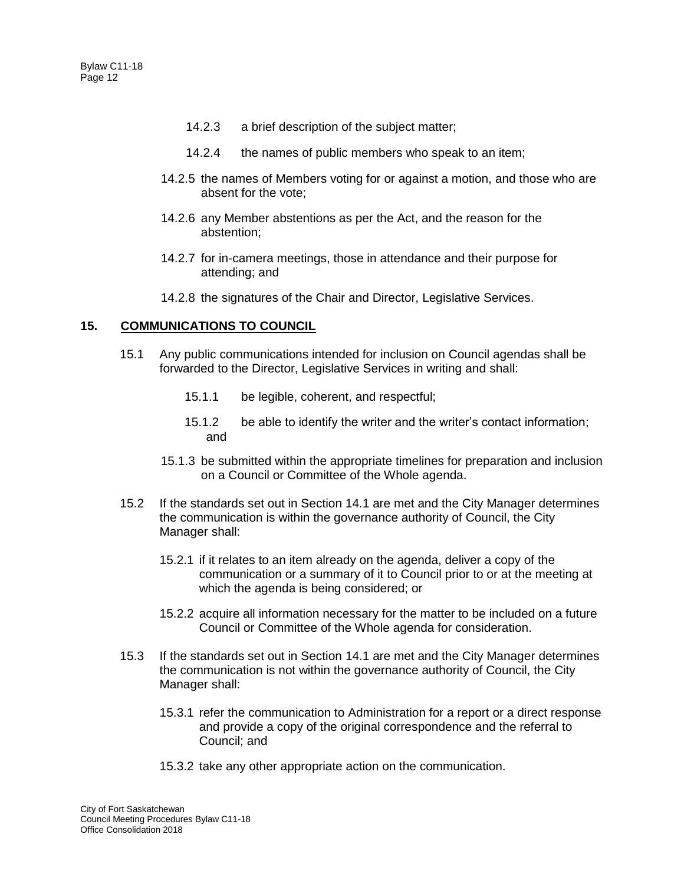- 14.2.3 a brief description of the subject matter;
- 14.2.4 the names of public members who speak to an item;
- 14.2.5 the names of Members voting for or against a motion, and those who are absent for the vote;
- 14.2.6 any Member abstentions as per the Act, and the reason for the abstention;
- 14.2.7 for in-camera meetings, those in attendance and their purpose for attending; and
- 14.2.8 the signatures of the Chair and Director, Legislative Services.

## **15. COMMUNICATIONS TO COUNCIL**

- 15.1 Any public communications intended for inclusion on Council agendas shall be forwarded to the Director, Legislative Services in writing and shall:
	- 15.1.1 be legible, coherent, and respectful;
	- 15.1.2 be able to identify the writer and the writer's contact information; and
	- 15.1.3 be submitted within the appropriate timelines for preparation and inclusion on a Council or Committee of the Whole agenda.
- 15.2 If the standards set out in Section 14.1 are met and the City Manager determines the communication is within the governance authority of Council, the City Manager shall:
	- 15.2.1 if it relates to an item already on the agenda, deliver a copy of the communication or a summary of it to Council prior to or at the meeting at which the agenda is being considered; or
	- 15.2.2 acquire all information necessary for the matter to be included on a future Council or Committee of the Whole agenda for consideration.
- 15.3 If the standards set out in Section 14.1 are met and the City Manager determines the communication is not within the governance authority of Council, the City Manager shall:
	- 15.3.1 refer the communication to Administration for a report or a direct response and provide a copy of the original correspondence and the referral to Council; and
	- 15.3.2 take any other appropriate action on the communication.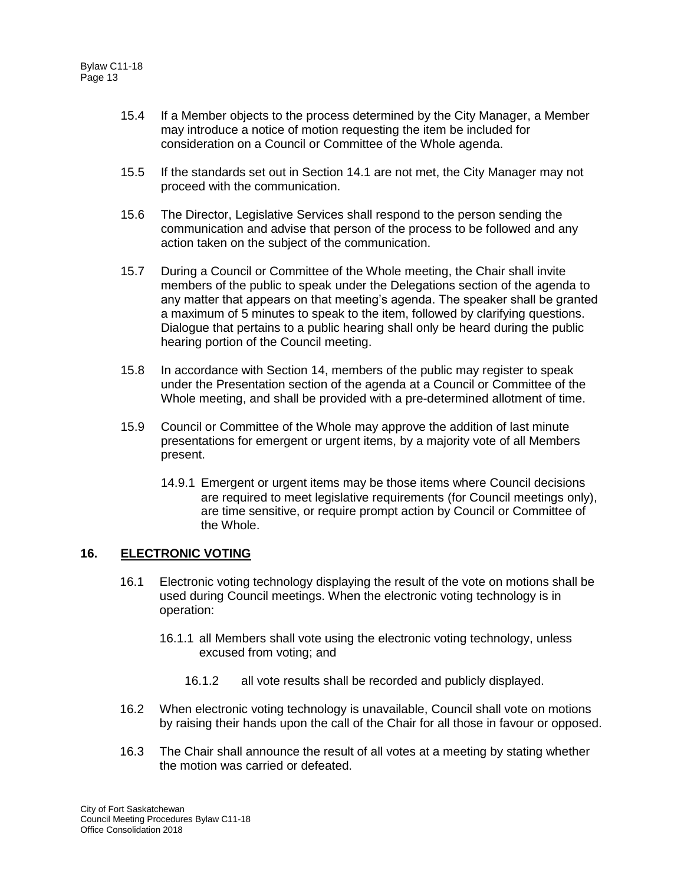- 15.4 If a Member objects to the process determined by the City Manager, a Member may introduce a notice of motion requesting the item be included for consideration on a Council or Committee of the Whole agenda.
- 15.5 If the standards set out in Section 14.1 are not met, the City Manager may not proceed with the communication.
- 15.6 The Director, Legislative Services shall respond to the person sending the communication and advise that person of the process to be followed and any action taken on the subject of the communication.
- 15.7 During a Council or Committee of the Whole meeting, the Chair shall invite members of the public to speak under the Delegations section of the agenda to any matter that appears on that meeting's agenda. The speaker shall be granted a maximum of 5 minutes to speak to the item, followed by clarifying questions. Dialogue that pertains to a public hearing shall only be heard during the public hearing portion of the Council meeting.
- 15.8 In accordance with Section 14, members of the public may register to speak under the Presentation section of the agenda at a Council or Committee of the Whole meeting, and shall be provided with a pre-determined allotment of time.
- 15.9 Council or Committee of the Whole may approve the addition of last minute presentations for emergent or urgent items, by a majority vote of all Members present.
	- 14.9.1 Emergent or urgent items may be those items where Council decisions are required to meet legislative requirements (for Council meetings only), are time sensitive, or require prompt action by Council or Committee of the Whole.

### **16. ELECTRONIC VOTING**

- 16.1 Electronic voting technology displaying the result of the vote on motions shall be used during Council meetings. When the electronic voting technology is in operation:
	- 16.1.1 all Members shall vote using the electronic voting technology, unless excused from voting; and
		- 16.1.2 all vote results shall be recorded and publicly displayed.
- 16.2 When electronic voting technology is unavailable, Council shall vote on motions by raising their hands upon the call of the Chair for all those in favour or opposed.
- 16.3 The Chair shall announce the result of all votes at a meeting by stating whether the motion was carried or defeated.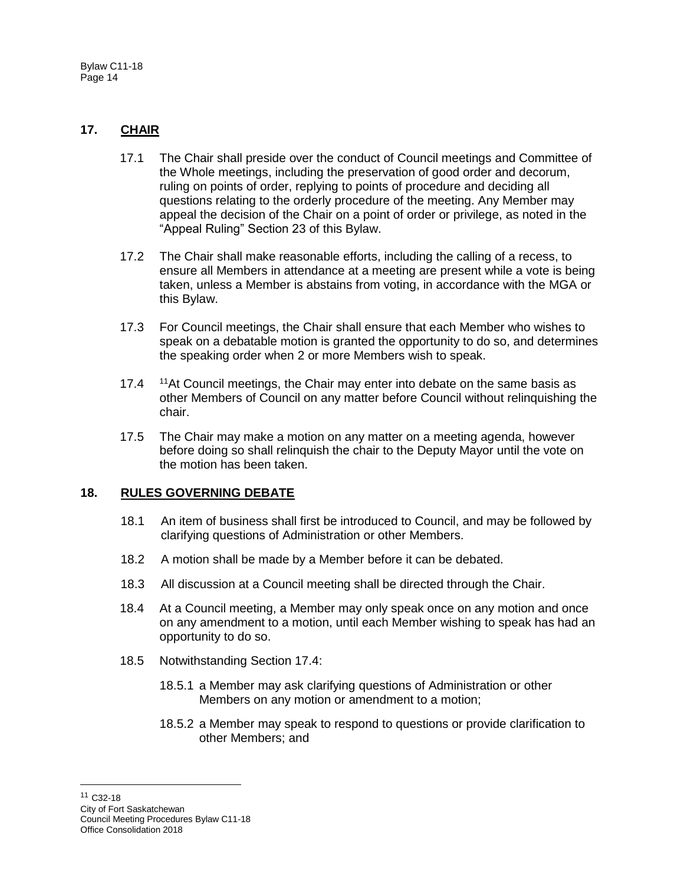# **17. CHAIR**

- 17.1 The Chair shall preside over the conduct of Council meetings and Committee of the Whole meetings, including the preservation of good order and decorum, ruling on points of order, replying to points of procedure and deciding all questions relating to the orderly procedure of the meeting. Any Member may appeal the decision of the Chair on a point of order or privilege, as noted in the "Appeal Ruling" Section 23 of this Bylaw.
- 17.2 The Chair shall make reasonable efforts, including the calling of a recess, to ensure all Members in attendance at a meeting are present while a vote is being taken, unless a Member is abstains from voting, in accordance with the MGA or this Bylaw.
- 17.3 For Council meetings, the Chair shall ensure that each Member who wishes to speak on a debatable motion is granted the opportunity to do so, and determines the speaking order when 2 or more Members wish to speak.
- 17.4 <sup>11</sup>At Council meetings, the Chair may enter into debate on the same basis as other Members of Council on any matter before Council without relinquishing the chair.
- 17.5 The Chair may make a motion on any matter on a meeting agenda, however before doing so shall relinquish the chair to the Deputy Mayor until the vote on the motion has been taken.

### **18. RULES GOVERNING DEBATE**

- 18.1 An item of business shall first be introduced to Council, and may be followed by clarifying questions of Administration or other Members.
- 18.2 A motion shall be made by a Member before it can be debated.
- 18.3 All discussion at a Council meeting shall be directed through the Chair.
- 18.4 At a Council meeting, a Member may only speak once on any motion and once on any amendment to a motion, until each Member wishing to speak has had an opportunity to do so.
- 18.5 Notwithstanding Section 17.4:
	- 18.5.1 a Member may ask clarifying questions of Administration or other Members on any motion or amendment to a motion;
	- 18.5.2 a Member may speak to respond to questions or provide clarification to other Members; and

 $\overline{\phantom{a}}$ <sup>11</sup> C32-18

City of Fort Saskatchewan Council Meeting Procedures Bylaw C11-18 Office Consolidation 2018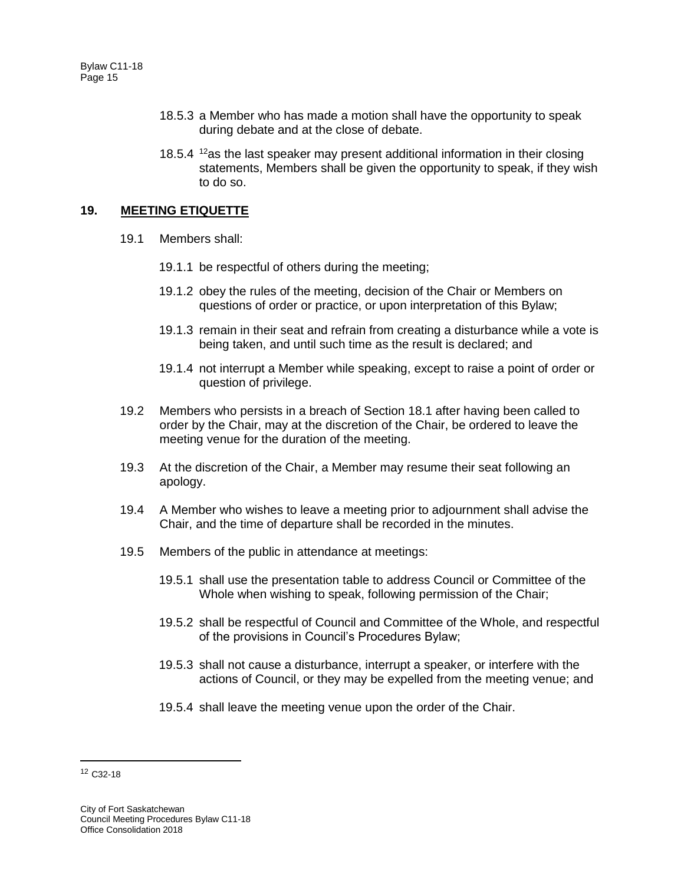- 18.5.3 a Member who has made a motion shall have the opportunity to speak during debate and at the close of debate.
- 18.5.4  $12$ as the last speaker may present additional information in their closing statements, Members shall be given the opportunity to speak, if they wish to do so.

### **19. MEETING ETIQUETTE**

- 19.1 Members shall:
	- 19.1.1 be respectful of others during the meeting;
	- 19.1.2 obey the rules of the meeting, decision of the Chair or Members on questions of order or practice, or upon interpretation of this Bylaw;
	- 19.1.3 remain in their seat and refrain from creating a disturbance while a vote is being taken, and until such time as the result is declared; and
	- 19.1.4 not interrupt a Member while speaking, except to raise a point of order or question of privilege.
- 19.2 Members who persists in a breach of Section 18.1 after having been called to order by the Chair, may at the discretion of the Chair, be ordered to leave the meeting venue for the duration of the meeting.
- 19.3 At the discretion of the Chair, a Member may resume their seat following an apology.
- 19.4 A Member who wishes to leave a meeting prior to adjournment shall advise the Chair, and the time of departure shall be recorded in the minutes.
- 19.5 Members of the public in attendance at meetings:
	- 19.5.1 shall use the presentation table to address Council or Committee of the Whole when wishing to speak, following permission of the Chair;
	- 19.5.2 shall be respectful of Council and Committee of the Whole, and respectful of the provisions in Council's Procedures Bylaw;
	- 19.5.3 shall not cause a disturbance, interrupt a speaker, or interfere with the actions of Council, or they may be expelled from the meeting venue; and
	- 19.5.4 shall leave the meeting venue upon the order of the Chair.

 $\overline{\phantom{a}}$ 

<sup>12</sup> C32-18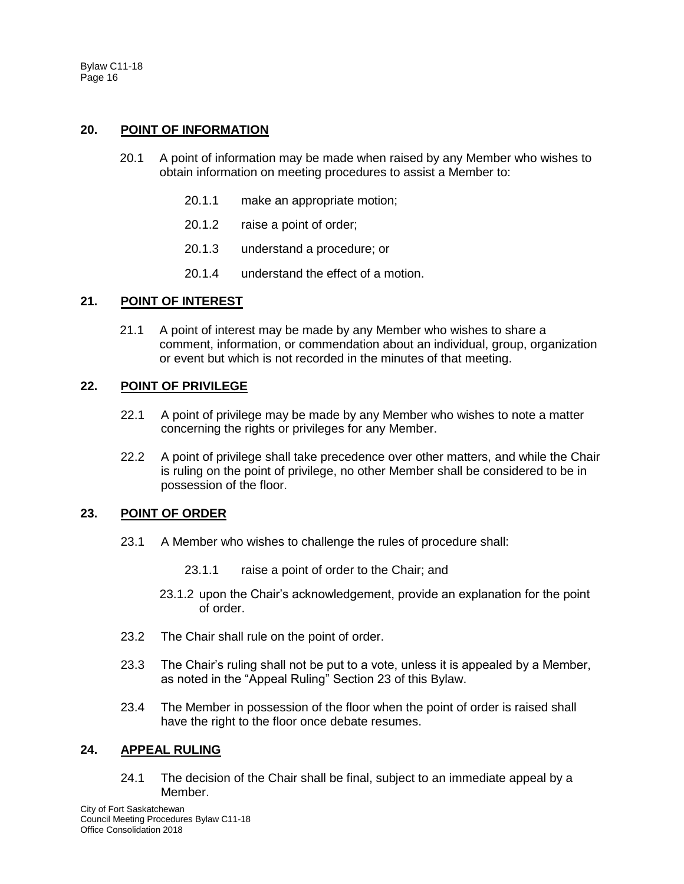Bylaw C11-18 Page 16

#### **20. POINT OF INFORMATION**

- 20.1 A point of information may be made when raised by any Member who wishes to obtain information on meeting procedures to assist a Member to:
	- 20.1.1 make an appropriate motion;
	- 20.1.2 raise a point of order;
	- 20.1.3 understand a procedure; or
	- 20.1.4 understand the effect of a motion.

#### **21. POINT OF INTEREST**

21.1 A point of interest may be made by any Member who wishes to share a comment, information, or commendation about an individual, group, organization or event but which is not recorded in the minutes of that meeting.

#### **22. POINT OF PRIVILEGE**

- 22.1 A point of privilege may be made by any Member who wishes to note a matter concerning the rights or privileges for any Member.
- 22.2 A point of privilege shall take precedence over other matters, and while the Chair is ruling on the point of privilege, no other Member shall be considered to be in possession of the floor.

#### **23. POINT OF ORDER**

- 23.1 A Member who wishes to challenge the rules of procedure shall:
	- 23.1.1 raise a point of order to the Chair; and
	- 23.1.2 upon the Chair's acknowledgement, provide an explanation for the point of order.
- 23.2 The Chair shall rule on the point of order.
- 23.3 The Chair's ruling shall not be put to a vote, unless it is appealed by a Member, as noted in the "Appeal Ruling" Section 23 of this Bylaw.
- 23.4 The Member in possession of the floor when the point of order is raised shall have the right to the floor once debate resumes.

### **24. APPEAL RULING**

24.1 The decision of the Chair shall be final, subject to an immediate appeal by a Member.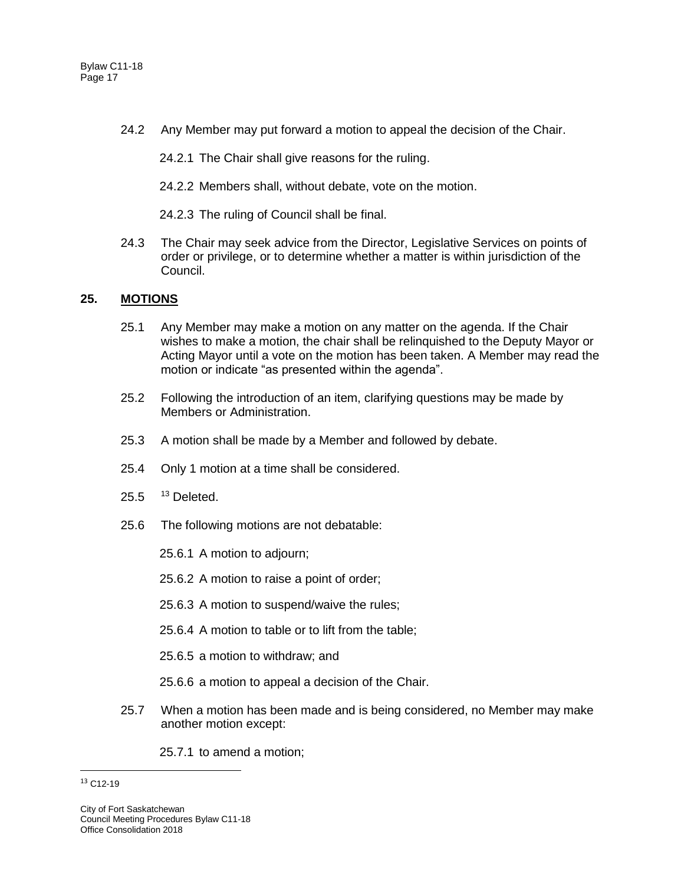- 24.2 Any Member may put forward a motion to appeal the decision of the Chair.
	- 24.2.1 The Chair shall give reasons for the ruling.
	- 24.2.2 Members shall, without debate, vote on the motion.
	- 24.2.3 The ruling of Council shall be final.
- 24.3 The Chair may seek advice from the Director, Legislative Services on points of order or privilege, or to determine whether a matter is within jurisdiction of the Council.

### **25. MOTIONS**

- 25.1 Any Member may make a motion on any matter on the agenda. If the Chair wishes to make a motion, the chair shall be relinquished to the Deputy Mayor or Acting Mayor until a vote on the motion has been taken. A Member may read the motion or indicate "as presented within the agenda".
- 25.2 Following the introduction of an item, clarifying questions may be made by Members or Administration.
- 25.3 A motion shall be made by a Member and followed by debate.
- 25.4 Only 1 motion at a time shall be considered.
- $25.5$   $13$  Deleted.
- 25.6 The following motions are not debatable:
	- 25.6.1 A motion to adjourn;
	- 25.6.2 A motion to raise a point of order;
	- 25.6.3 A motion to suspend/waive the rules;
	- 25.6.4 A motion to table or to lift from the table;
	- 25.6.5 a motion to withdraw; and
	- 25.6.6 a motion to appeal a decision of the Chair.
- 25.7 When a motion has been made and is being considered, no Member may make another motion except:
	- 25.7.1 to amend a motion;

l

 $13$  C<sub>12</sub>-19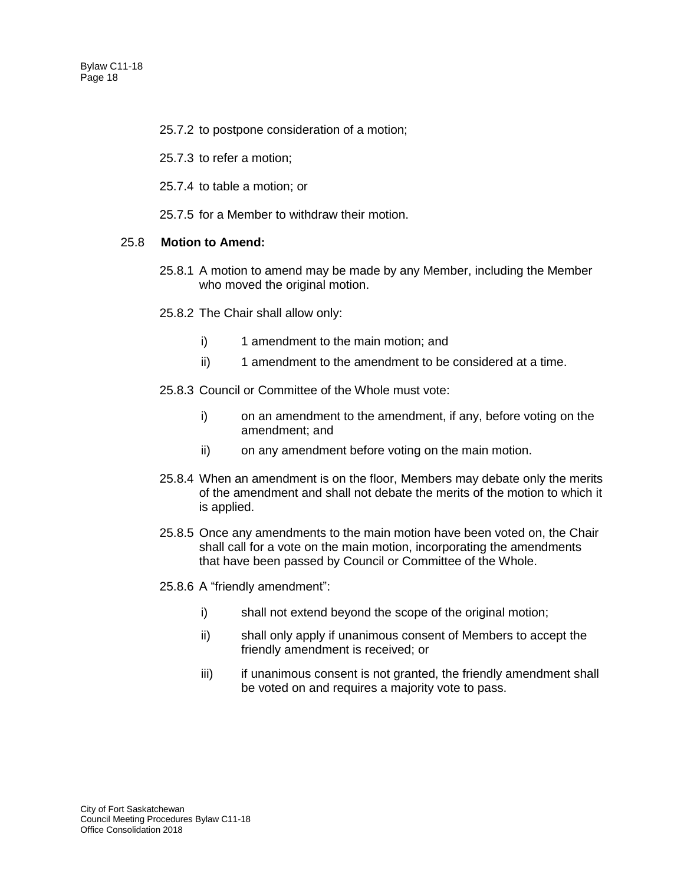- 25.7.2 to postpone consideration of a motion;
- 25.7.3 to refer a motion;
- 25.7.4 to table a motion; or
- 25.7.5 for a Member to withdraw their motion.

### 25.8 **Motion to Amend:**

- 25.8.1 A motion to amend may be made by any Member, including the Member who moved the original motion.
- 25.8.2 The Chair shall allow only:
	- i) 1 amendment to the main motion; and
	- ii) 1 amendment to the amendment to be considered at a time.
- 25.8.3 Council or Committee of the Whole must vote:
	- i) on an amendment to the amendment, if any, before voting on the amendment; and
	- ii) on any amendment before voting on the main motion.
- 25.8.4 When an amendment is on the floor, Members may debate only the merits of the amendment and shall not debate the merits of the motion to which it is applied.
- 25.8.5 Once any amendments to the main motion have been voted on, the Chair shall call for a vote on the main motion, incorporating the amendments that have been passed by Council or Committee of the Whole.
- 25.8.6 A "friendly amendment":
	- i) shall not extend beyond the scope of the original motion;
	- ii) shall only apply if unanimous consent of Members to accept the friendly amendment is received; or
	- iii) if unanimous consent is not granted, the friendly amendment shall be voted on and requires a majority vote to pass.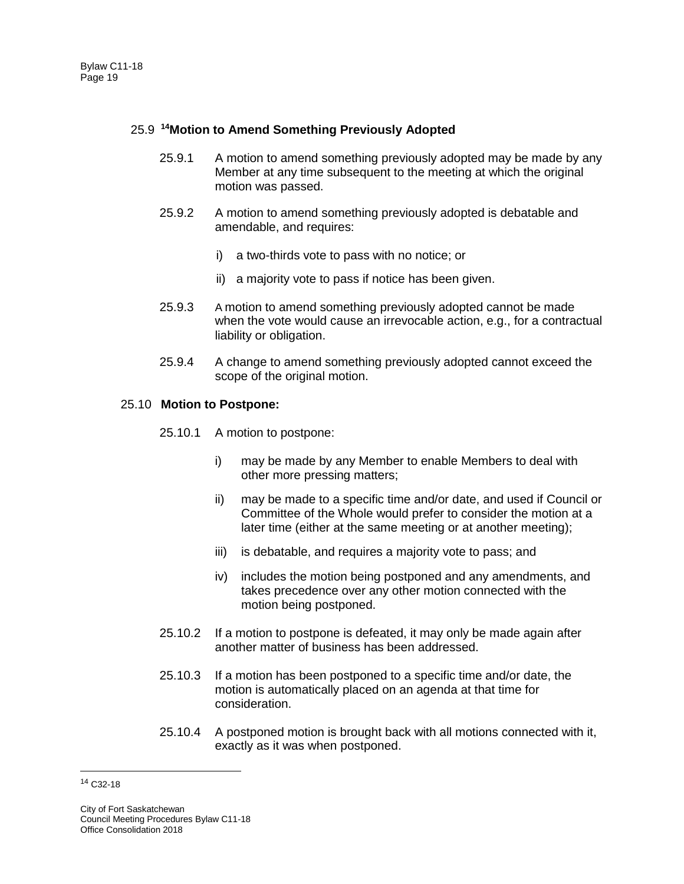### 25.9 **<sup>14</sup>Motion to Amend Something Previously Adopted**

- 25.9.1 A motion to amend something previously adopted may be made by any Member at any time subsequent to the meeting at which the original motion was passed.
- 25.9.2 A motion to amend something previously adopted is debatable and amendable, and requires:
	- i) a two-thirds vote to pass with no notice; or
	- ii) a majority vote to pass if notice has been given.
- 25.9.3 A motion to amend something previously adopted cannot be made when the vote would cause an irrevocable action, e.g., for a contractual liability or obligation.
- 25.9.4 A change to amend something previously adopted cannot exceed the scope of the original motion.

#### 25.10 **Motion to Postpone:**

- 25.10.1 A motion to postpone:
	- i) may be made by any Member to enable Members to deal with other more pressing matters;
	- ii) may be made to a specific time and/or date, and used if Council or Committee of the Whole would prefer to consider the motion at a later time (either at the same meeting or at another meeting);
	- iii) is debatable, and requires a majority vote to pass; and
	- iv) includes the motion being postponed and any amendments, and takes precedence over any other motion connected with the motion being postponed.
- 25.10.2 If a motion to postpone is defeated, it may only be made again after another matter of business has been addressed.
- 25.10.3 If a motion has been postponed to a specific time and/or date, the motion is automatically placed on an agenda at that time for consideration.
- 25.10.4 A postponed motion is brought back with all motions connected with it, exactly as it was when postponed.

l

<sup>14</sup> C32-18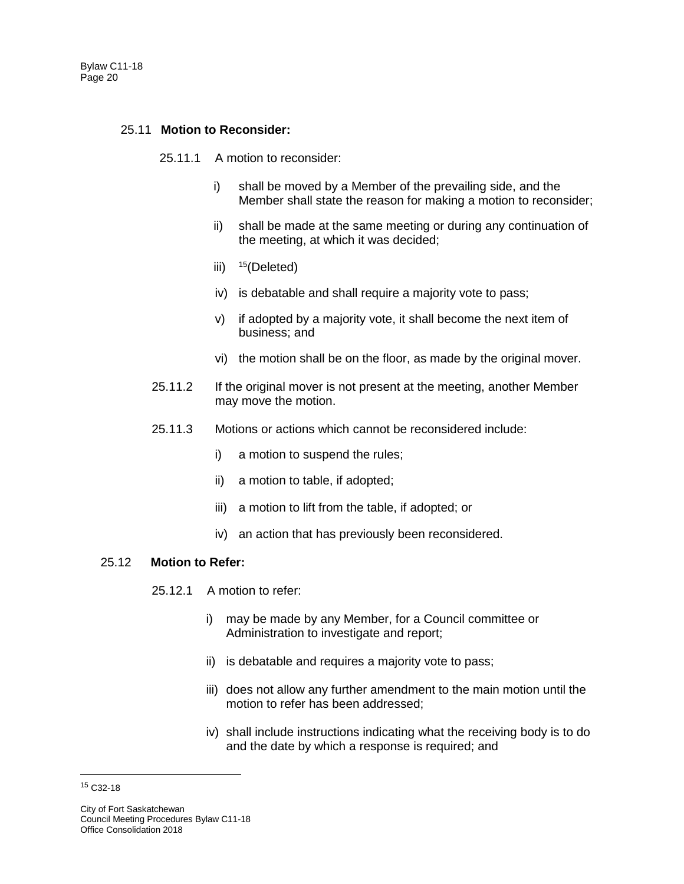#### 25.11 **Motion to Reconsider:**

- 25.11.1 A motion to reconsider:
	- i) shall be moved by a Member of the prevailing side, and the Member shall state the reason for making a motion to reconsider;
	- ii) shall be made at the same meeting or during any continuation of the meeting, at which it was decided;
	- iii)  $15(Deleted)$
	- iv) is debatable and shall require a majority vote to pass;
	- v) if adopted by a majority vote, it shall become the next item of business; and
	- vi) the motion shall be on the floor, as made by the original mover.
- 25.11.2 If the original mover is not present at the meeting, another Member may move the motion.
- 25.11.3 Motions or actions which cannot be reconsidered include:
	- i) a motion to suspend the rules;
	- ii) a motion to table, if adopted;
	- iii) a motion to lift from the table, if adopted; or
	- iv) an action that has previously been reconsidered.

#### 25.12 **Motion to Refer:**

25.12.1 A motion to refer:

- i) may be made by any Member, for a Council committee or Administration to investigate and report;
- ii) is debatable and requires a majority vote to pass;
- iii) does not allow any further amendment to the main motion until the motion to refer has been addressed;
- iv) shall include instructions indicating what the receiving body is to do and the date by which a response is required; and

 $\overline{a}$ 

<sup>15</sup> C32-18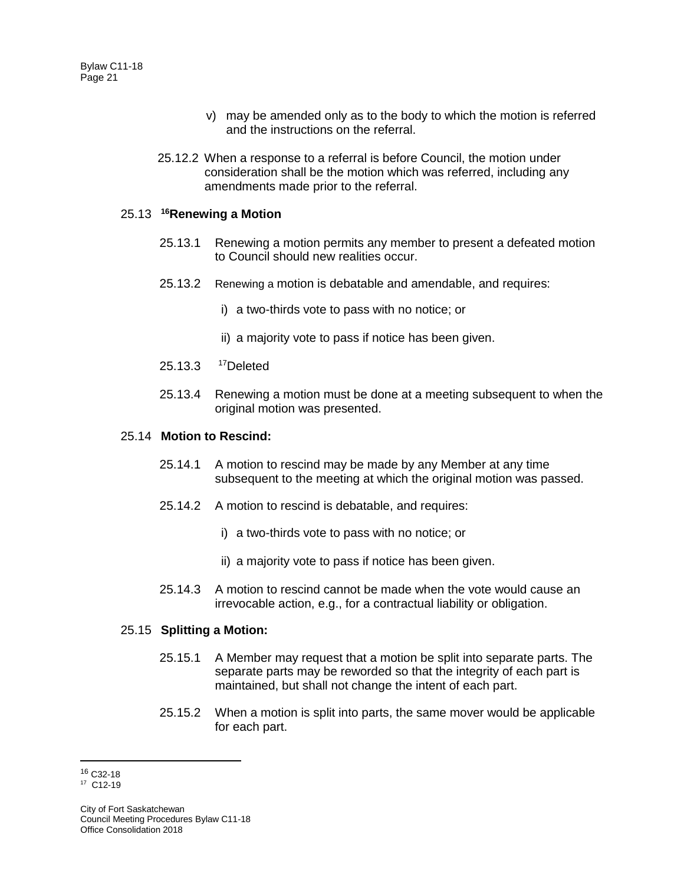- v) may be amended only as to the body to which the motion is referred and the instructions on the referral.
- 25.12.2 When a response to a referral is before Council, the motion under consideration shall be the motion which was referred, including any amendments made prior to the referral.

### 25.13 **<sup>16</sup>Renewing a Motion**

- 25.13.1 Renewing a motion permits any member to present a defeated motion to Council should new realities occur.
- 25.13.2 Renewing a motion is debatable and amendable, and requires:
	- i) a two-thirds vote to pass with no notice; or
	- ii) a majority vote to pass if notice has been given.
- 25.13.3 <sup>17</sup>Deleted
- 25.13.4 Renewing a motion must be done at a meeting subsequent to when the original motion was presented.

#### 25.14 **Motion to Rescind:**

- 25.14.1 A motion to rescind may be made by any Member at any time subsequent to the meeting at which the original motion was passed.
- 25.14.2 A motion to rescind is debatable, and requires:
	- i) a two-thirds vote to pass with no notice; or
	- ii) a majority vote to pass if notice has been given.
- 25.14.3 A motion to rescind cannot be made when the vote would cause an irrevocable action, e.g., for a contractual liability or obligation.

#### 25.15 **Splitting a Motion:**

- 25.15.1 A Member may request that a motion be split into separate parts. The separate parts may be reworded so that the integrity of each part is maintained, but shall not change the intent of each part.
- 25.15.2 When a motion is split into parts, the same mover would be applicable for each part.

 $\overline{\phantom{a}}$ 

<sup>16</sup> C32-18

<sup>17</sup> C12-19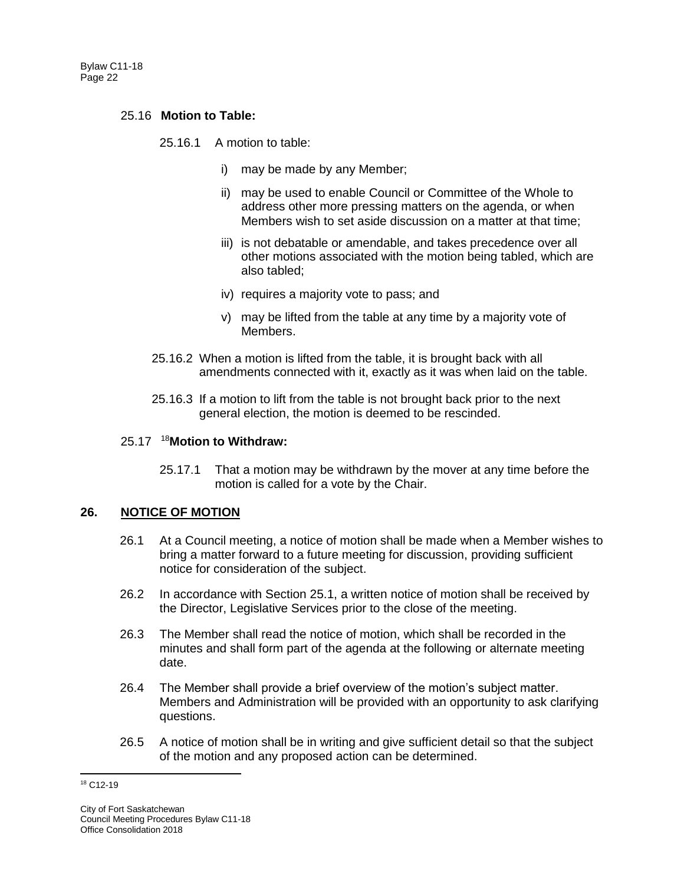### 25.16 **Motion to Table:**

- 25.16.1 A motion to table:
	- i) may be made by any Member;
	- ii) may be used to enable Council or Committee of the Whole to address other more pressing matters on the agenda, or when Members wish to set aside discussion on a matter at that time;
	- iii) is not debatable or amendable, and takes precedence over all other motions associated with the motion being tabled, which are also tabled;
	- iv) requires a majority vote to pass; and
	- v) may be lifted from the table at any time by a majority vote of Members.
- 25.16.2 When a motion is lifted from the table, it is brought back with all amendments connected with it, exactly as it was when laid on the table.
- 25.16.3 If a motion to lift from the table is not brought back prior to the next general election, the motion is deemed to be rescinded.

### 25.17 <sup>18</sup>**Motion to Withdraw:**

25.17.1 That a motion may be withdrawn by the mover at any time before the motion is called for a vote by the Chair.

#### **26. NOTICE OF MOTION**

- 26.1 At a Council meeting, a notice of motion shall be made when a Member wishes to bring a matter forward to a future meeting for discussion, providing sufficient notice for consideration of the subject.
- 26.2 In accordance with Section 25.1, a written notice of motion shall be received by the Director, Legislative Services prior to the close of the meeting.
- 26.3 The Member shall read the notice of motion, which shall be recorded in the minutes and shall form part of the agenda at the following or alternate meeting date.
- 26.4 The Member shall provide a brief overview of the motion's subject matter. Members and Administration will be provided with an opportunity to ask clarifying questions.
- 26.5 A notice of motion shall be in writing and give sufficient detail so that the subject of the motion and any proposed action can be determined.

l <sup>18</sup> C12-19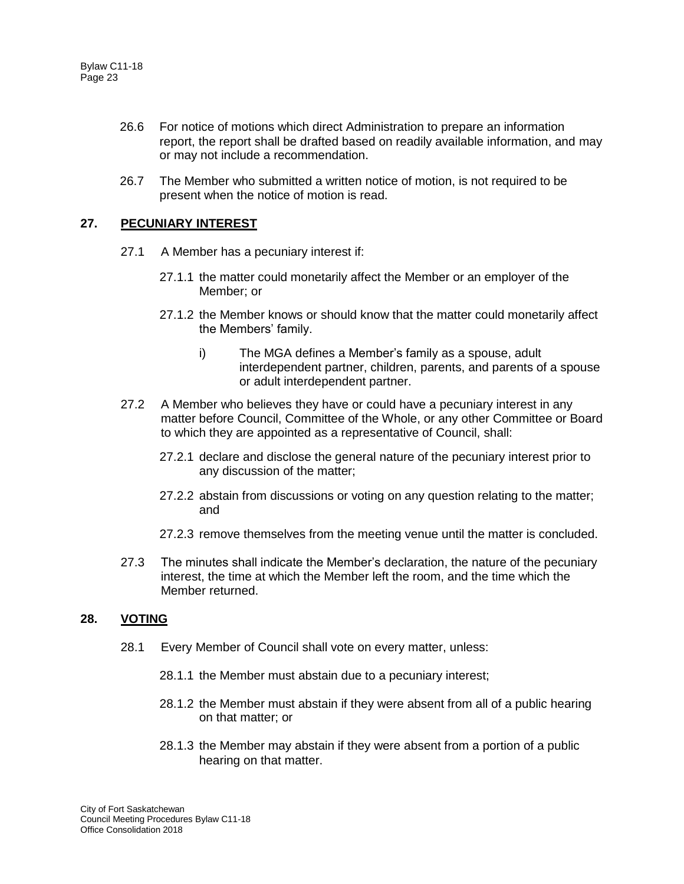- 26.6 For notice of motions which direct Administration to prepare an information report, the report shall be drafted based on readily available information, and may or may not include a recommendation.
- 26.7 The Member who submitted a written notice of motion, is not required to be present when the notice of motion is read.

## **27. PECUNIARY INTEREST**

- 27.1 A Member has a pecuniary interest if:
	- 27.1.1 the matter could monetarily affect the Member or an employer of the Member; or
	- 27.1.2 the Member knows or should know that the matter could monetarily affect the Members' family.
		- i) The MGA defines a Member's family as a spouse, adult interdependent partner, children, parents, and parents of a spouse or adult interdependent partner.
- 27.2 A Member who believes they have or could have a pecuniary interest in any matter before Council, Committee of the Whole, or any other Committee or Board to which they are appointed as a representative of Council, shall:
	- 27.2.1 declare and disclose the general nature of the pecuniary interest prior to any discussion of the matter;
	- 27.2.2 abstain from discussions or voting on any question relating to the matter; and
	- 27.2.3 remove themselves from the meeting venue until the matter is concluded.
- 27.3 The minutes shall indicate the Member's declaration, the nature of the pecuniary interest, the time at which the Member left the room, and the time which the Member returned.

#### **28. VOTING**

- 28.1 Every Member of Council shall vote on every matter, unless:
	- 28.1.1 the Member must abstain due to a pecuniary interest;
	- 28.1.2 the Member must abstain if they were absent from all of a public hearing on that matter; or
	- 28.1.3 the Member may abstain if they were absent from a portion of a public hearing on that matter.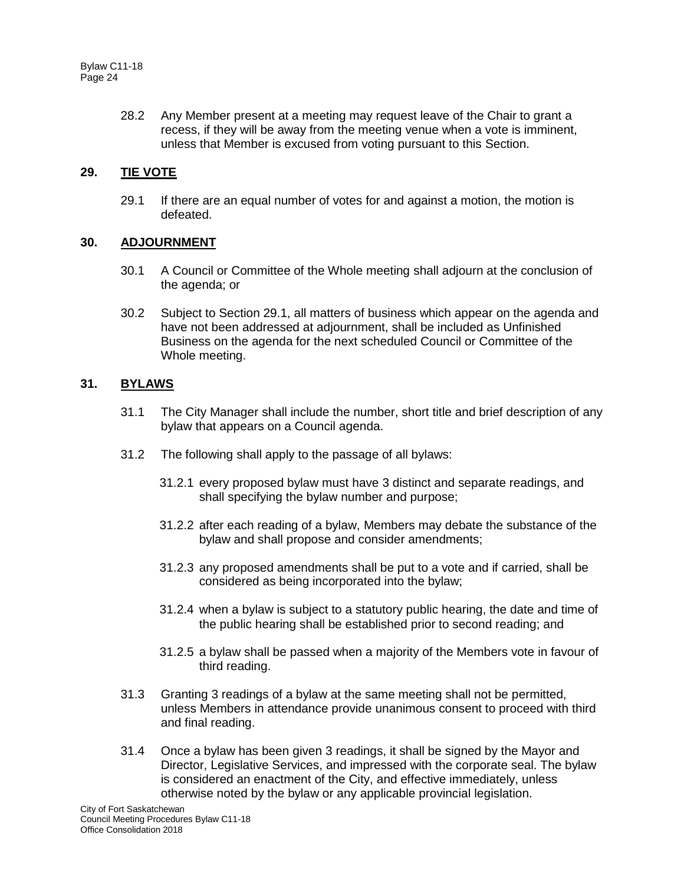28.2 Any Member present at a meeting may request leave of the Chair to grant a recess, if they will be away from the meeting venue when a vote is imminent, unless that Member is excused from voting pursuant to this Section.

### **29. TIE VOTE**

29.1 If there are an equal number of votes for and against a motion, the motion is defeated.

### **30. ADJOURNMENT**

- 30.1 A Council or Committee of the Whole meeting shall adjourn at the conclusion of the agenda; or
- 30.2 Subject to Section 29.1, all matters of business which appear on the agenda and have not been addressed at adjournment, shall be included as Unfinished Business on the agenda for the next scheduled Council or Committee of the Whole meeting.

### **31. BYLAWS**

- 31.1 The City Manager shall include the number, short title and brief description of any bylaw that appears on a Council agenda.
- 31.2 The following shall apply to the passage of all bylaws:
	- 31.2.1 every proposed bylaw must have 3 distinct and separate readings, and shall specifying the bylaw number and purpose;
	- 31.2.2 after each reading of a bylaw, Members may debate the substance of the bylaw and shall propose and consider amendments;
	- 31.2.3 any proposed amendments shall be put to a vote and if carried, shall be considered as being incorporated into the bylaw;
	- 31.2.4 when a bylaw is subject to a statutory public hearing, the date and time of the public hearing shall be established prior to second reading; and
	- 31.2.5 a bylaw shall be passed when a majority of the Members vote in favour of third reading.
- 31.3 Granting 3 readings of a bylaw at the same meeting shall not be permitted, unless Members in attendance provide unanimous consent to proceed with third and final reading.
- 31.4 Once a bylaw has been given 3 readings, it shall be signed by the Mayor and Director, Legislative Services, and impressed with the corporate seal. The bylaw is considered an enactment of the City, and effective immediately, unless otherwise noted by the bylaw or any applicable provincial legislation.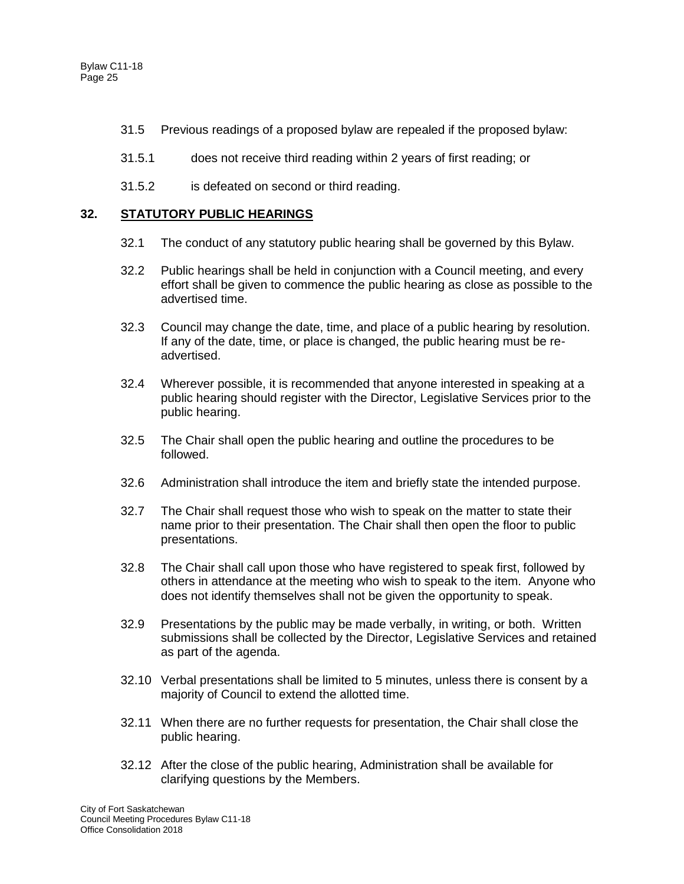- 31.5 Previous readings of a proposed bylaw are repealed if the proposed bylaw:
- 31.5.1 does not receive third reading within 2 years of first reading; or
- 31.5.2 is defeated on second or third reading.

### **32. STATUTORY PUBLIC HEARINGS**

- 32.1 The conduct of any statutory public hearing shall be governed by this Bylaw.
- 32.2 Public hearings shall be held in conjunction with a Council meeting, and every effort shall be given to commence the public hearing as close as possible to the advertised time.
- 32.3 Council may change the date, time, and place of a public hearing by resolution. If any of the date, time, or place is changed, the public hearing must be readvertised.
- 32.4 Wherever possible, it is recommended that anyone interested in speaking at a public hearing should register with the Director, Legislative Services prior to the public hearing.
- 32.5 The Chair shall open the public hearing and outline the procedures to be followed.
- 32.6 Administration shall introduce the item and briefly state the intended purpose.
- 32.7 The Chair shall request those who wish to speak on the matter to state their name prior to their presentation. The Chair shall then open the floor to public presentations.
- 32.8 The Chair shall call upon those who have registered to speak first, followed by others in attendance at the meeting who wish to speak to the item. Anyone who does not identify themselves shall not be given the opportunity to speak.
- 32.9 Presentations by the public may be made verbally, in writing, or both. Written submissions shall be collected by the Director, Legislative Services and retained as part of the agenda.
- 32.10 Verbal presentations shall be limited to 5 minutes, unless there is consent by a majority of Council to extend the allotted time.
- 32.11 When there are no further requests for presentation, the Chair shall close the public hearing.
- 32.12 After the close of the public hearing, Administration shall be available for clarifying questions by the Members.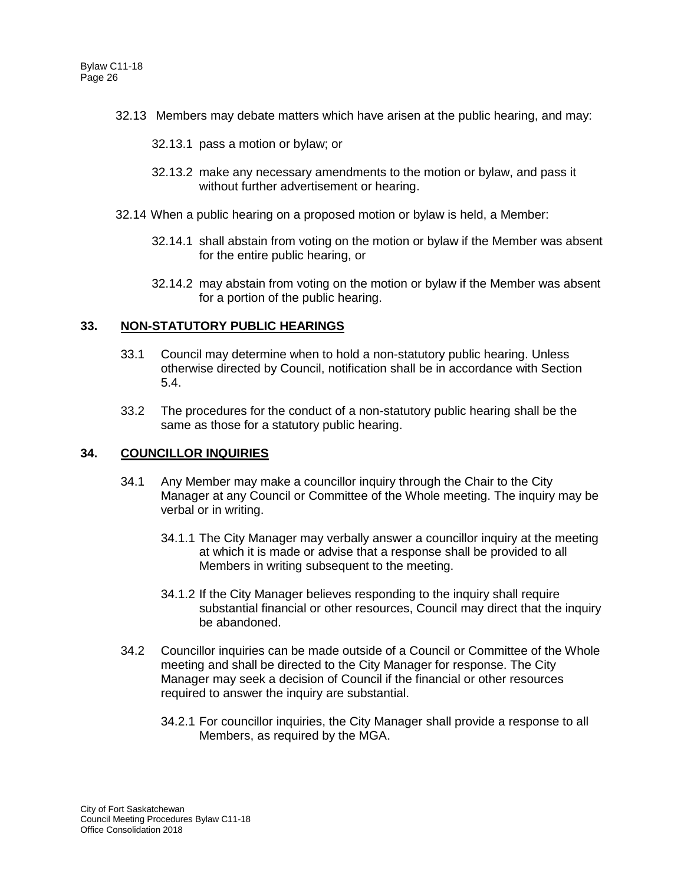- 32.13 Members may debate matters which have arisen at the public hearing, and may:
	- 32.13.1 pass a motion or bylaw; or
	- 32.13.2 make any necessary amendments to the motion or bylaw, and pass it without further advertisement or hearing.
- 32.14 When a public hearing on a proposed motion or bylaw is held, a Member:
	- 32.14.1 shall abstain from voting on the motion or bylaw if the Member was absent for the entire public hearing, or
	- 32.14.2 may abstain from voting on the motion or bylaw if the Member was absent for a portion of the public hearing.

# **33. NON-STATUTORY PUBLIC HEARINGS**

- 33.1 Council may determine when to hold a non-statutory public hearing. Unless otherwise directed by Council, notification shall be in accordance with Section 5.4.
- 33.2 The procedures for the conduct of a non-statutory public hearing shall be the same as those for a statutory public hearing.

### **34. COUNCILLOR INQUIRIES**

- 34.1 Any Member may make a councillor inquiry through the Chair to the City Manager at any Council or Committee of the Whole meeting. The inquiry may be verbal or in writing.
	- 34.1.1 The City Manager may verbally answer a councillor inquiry at the meeting at which it is made or advise that a response shall be provided to all Members in writing subsequent to the meeting.
	- 34.1.2 If the City Manager believes responding to the inquiry shall require substantial financial or other resources, Council may direct that the inquiry be abandoned.
- 34.2 Councillor inquiries can be made outside of a Council or Committee of the Whole meeting and shall be directed to the City Manager for response. The City Manager may seek a decision of Council if the financial or other resources required to answer the inquiry are substantial.
	- 34.2.1 For councillor inquiries, the City Manager shall provide a response to all Members, as required by the MGA.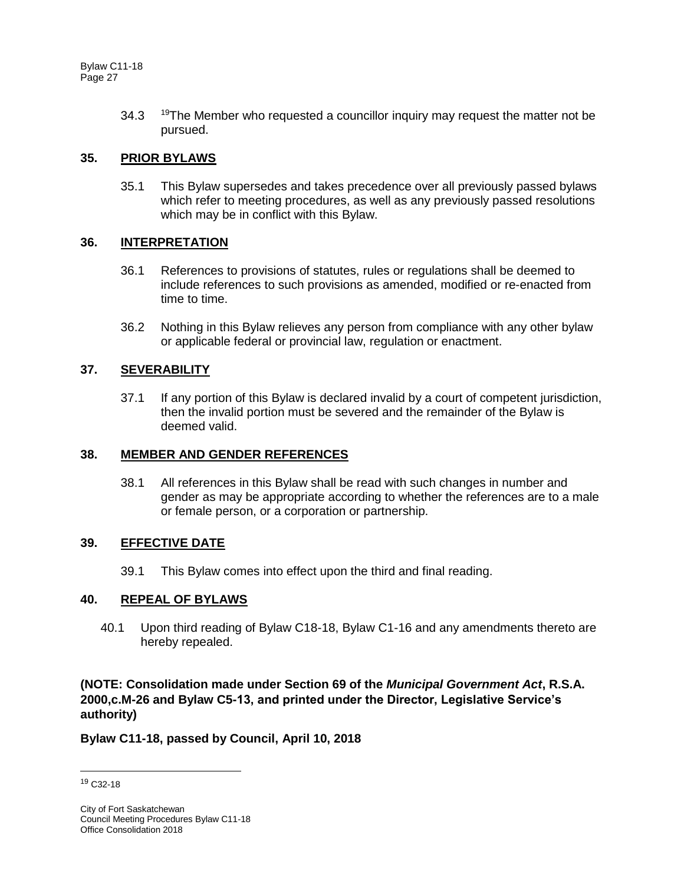$34.3$  <sup>19</sup>The Member who requested a councillor inquiry may request the matter not be pursued.

### **35. PRIOR BYLAWS**

35.1 This Bylaw supersedes and takes precedence over all previously passed bylaws which refer to meeting procedures, as well as any previously passed resolutions which may be in conflict with this Bylaw.

### **36. INTERPRETATION**

- 36.1 References to provisions of statutes, rules or regulations shall be deemed to include references to such provisions as amended, modified or re-enacted from time to time.
- 36.2 Nothing in this Bylaw relieves any person from compliance with any other bylaw or applicable federal or provincial law, regulation or enactment.

### **37. SEVERABILITY**

37.1 If any portion of this Bylaw is declared invalid by a court of competent jurisdiction, then the invalid portion must be severed and the remainder of the Bylaw is deemed valid.

#### **38. MEMBER AND GENDER REFERENCES**

38.1 All references in this Bylaw shall be read with such changes in number and gender as may be appropriate according to whether the references are to a male or female person, or a corporation or partnership.

### **39. EFFECTIVE DATE**

39.1 This Bylaw comes into effect upon the third and final reading.

### **40. REPEAL OF BYLAWS**

40.1 Upon third reading of Bylaw C18-18, Bylaw C1-16 and any amendments thereto are hereby repealed.

**(NOTE: Consolidation made under Section 69 of the** *Municipal Government Act***, R.S.A. 2000,c.M-26 and Bylaw C5-13, and printed under the Director, Legislative Service's authority)**

### **Bylaw C11-18, passed by Council, April 10, 2018**

l

<sup>19</sup> C32-18